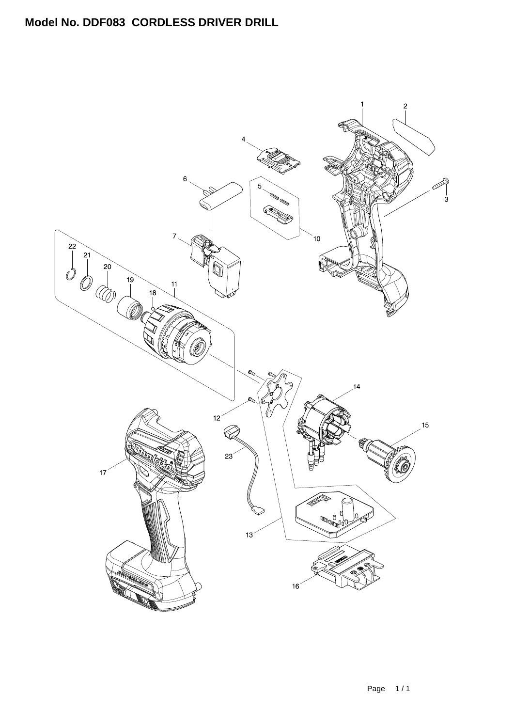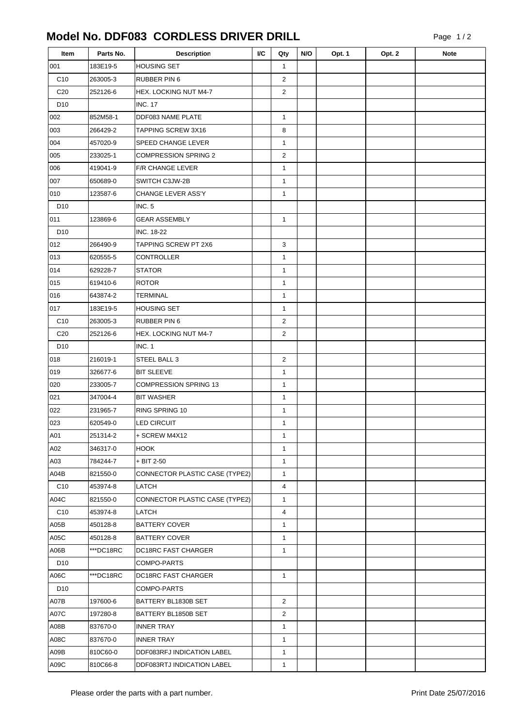## **Model No. DDF083 CORDLESS DRIVER DRILL**

| Item            | Parts No. | <b>Description</b>             | I/C | Qty            | N/O | Opt. 1 | Opt. 2 | <b>Note</b> |
|-----------------|-----------|--------------------------------|-----|----------------|-----|--------|--------|-------------|
| 001             | 183E19-5  | <b>HOUSING SET</b>             |     | $\mathbf{1}$   |     |        |        |             |
| C10             | 263005-3  | RUBBER PIN 6                   |     | $\overline{2}$ |     |        |        |             |
| C <sub>20</sub> | 252126-6  | <b>HEX. LOCKING NUT M4-7</b>   |     | $\overline{2}$ |     |        |        |             |
| D <sub>10</sub> |           | <b>INC. 17</b>                 |     |                |     |        |        |             |
| 002             | 852M58-1  | DDF083 NAME PLATE              |     | $\mathbf{1}$   |     |        |        |             |
| 003             | 266429-2  | TAPPING SCREW 3X16             |     | 8              |     |        |        |             |
| 004             | 457020-9  | SPEED CHANGE LEVER             |     | $\mathbf{1}$   |     |        |        |             |
| 005             | 233025-1  | <b>COMPRESSION SPRING 2</b>    |     | $\overline{2}$ |     |        |        |             |
| 006             | 419041-9  | <b>F/R CHANGE LEVER</b>        |     | $\mathbf{1}$   |     |        |        |             |
| 007             | 650689-0  | SWITCH C3JW-2B                 |     | $\mathbf{1}$   |     |        |        |             |
| 010             | 123587-6  | CHANGE LEVER ASS'Y             |     | $\mathbf{1}$   |     |        |        |             |
| D <sub>10</sub> |           | INC. 5                         |     |                |     |        |        |             |
| 011             | 123869-6  | <b>GEAR ASSEMBLY</b>           |     | $\mathbf{1}$   |     |        |        |             |
| D <sub>10</sub> |           | <b>INC. 18-22</b>              |     |                |     |        |        |             |
| 012             | 266490-9  | TAPPING SCREW PT 2X6           |     | 3              |     |        |        |             |
| 013             | 620555-5  | <b>CONTROLLER</b>              |     | $\mathbf{1}$   |     |        |        |             |
| 014             | 629228-7  | <b>STATOR</b>                  |     | $\mathbf{1}$   |     |        |        |             |
| 015             | 619410-6  | <b>ROTOR</b>                   |     | $\mathbf{1}$   |     |        |        |             |
| 016             | 643874-2  | <b>TERMINAL</b>                |     | $\mathbf{1}$   |     |        |        |             |
| 017             | 183E19-5  | <b>HOUSING SET</b>             |     | $\mathbf{1}$   |     |        |        |             |
| C10             | 263005-3  | RUBBER PIN 6                   |     | $\overline{2}$ |     |        |        |             |
| C <sub>20</sub> | 252126-6  | HEX. LOCKING NUT M4-7          |     | $\overline{2}$ |     |        |        |             |
| D <sub>10</sub> |           | INC. 1                         |     |                |     |        |        |             |
| 018             | 216019-1  | STEEL BALL 3                   |     | $\mathbf 2$    |     |        |        |             |
| 019             | 326677-6  | <b>BIT SLEEVE</b>              |     | $\mathbf{1}$   |     |        |        |             |
| 020             | 233005-7  | <b>COMPRESSION SPRING 13</b>   |     | $\mathbf{1}$   |     |        |        |             |
| 021             | 347004-4  | <b>BIT WASHER</b>              |     | $\mathbf{1}$   |     |        |        |             |
| 022             | 231965-7  | RING SPRING 10                 |     | $\mathbf{1}$   |     |        |        |             |
| 023             | 620549-0  | <b>LED CIRCUIT</b>             |     | $\mathbf{1}$   |     |        |        |             |
| A01             | 251314-2  | + SCREW M4X12                  |     | $\mathbf{1}$   |     |        |        |             |
| A02             | 346317-0  | <b>HOOK</b>                    |     | $\mathbf{1}$   |     |        |        |             |
| A03             | 784244-7  | + BIT 2-50                     |     | $\mathbf{1}$   |     |        |        |             |
| A04B            | 821550-0  | CONNECTOR PLASTIC CASE (TYPE2) |     | $\mathbf{1}$   |     |        |        |             |
| C <sub>10</sub> | 453974-8  | LATCH                          |     | 4              |     |        |        |             |
| A04C            | 821550-0  | CONNECTOR PLASTIC CASE (TYPE2) |     | $\mathbf{1}$   |     |        |        |             |
| C <sub>10</sub> | 453974-8  | LATCH                          |     | 4              |     |        |        |             |
| A05B            | 450128-8  | <b>BATTERY COVER</b>           |     | $\mathbf{1}$   |     |        |        |             |
| A05C            | 450128-8  | <b>BATTERY COVER</b>           |     | $\mathbf{1}$   |     |        |        |             |
| A06B            | ***DC18RC | <b>DC18RC FAST CHARGER</b>     |     | $\mathbf{1}$   |     |        |        |             |
| D <sub>10</sub> |           | COMPO-PARTS                    |     |                |     |        |        |             |
| A06C            | ***DC18RC | DC18RC FAST CHARGER            |     | $\mathbf{1}$   |     |        |        |             |
| D <sub>10</sub> |           | COMPO-PARTS                    |     |                |     |        |        |             |
| A07B            | 197600-6  | BATTERY BL1830B SET            |     | $\overline{2}$ |     |        |        |             |
| A07C            | 197280-8  | BATTERY BL1850B SET            |     | $\overline{2}$ |     |        |        |             |
| A08B            | 837670-0  | <b>INNER TRAY</b>              |     | $\mathbf{1}$   |     |        |        |             |
| A08C            | 837670-0  | <b>INNER TRAY</b>              |     | $\mathbf{1}$   |     |        |        |             |
| A09B            | 810C60-0  | DDF083RFJ INDICATION LABEL     |     | $\mathbf{1}$   |     |        |        |             |
| A09C            | 810C66-8  | DDF083RTJ INDICATION LABEL     |     | $\mathbf{1}$   |     |        |        |             |